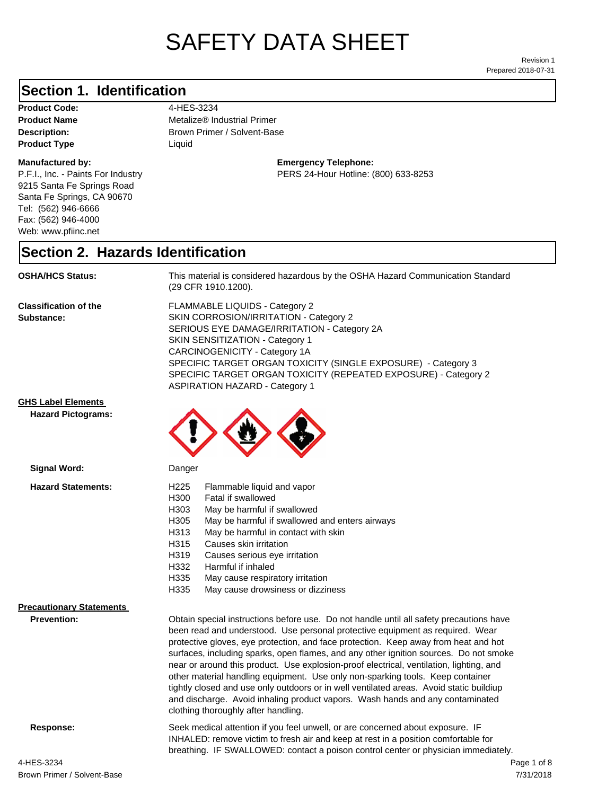# SAFETY DATA SHEET

Prepared 2018-07-31 Revision 1

## **Section 1. Identification**

Product Code: 4-HES-3234 **Product Type** Liquid

#### **Manufactured by:**

P.F.I., Inc. - Paints For Industry 9215 Santa Fe Springs Road Santa Fe Springs, CA 90670 Tel: (562) 946-6666 Fax: (562) 946-4000 Web: www.pfiinc.net

**Description:** Brown Primer / Solvent-Base **Product Name** Metalize® Industrial Primer

> **Emergency Telephone:** PERS 24-Hour Hotline: (800) 633-8253

**Section 2. Hazards Identification**

**OSHA/HCS Status:** This material is considered hazardous by the OSHA Hazard Communication Standard (29 CFR 1910.1200).

**Classification of the Substance:**

FLAMMABLE LIQUIDS - Category 2 SKIN CORROSION/IRRITATION - Category 2 SERIOUS EYE DAMAGE/IRRITATION - Category 2A SKIN SENSITIZATION - Category 1 CARCINOGENICITY - Category 1A SPECIFIC TARGET ORGAN TOXICITY (SINGLE EXPOSURE) - Category 3 SPECIFIC TARGET ORGAN TOXICITY (REPEATED EXPOSURE) - Category 2 ASPIRATION HAZARD - Category 1

#### **GHS Label Elements**

**Hazard Pictograms:**



**Precautionary Statements**

**Prevention:**

Obtain special instructions before use. Do not handle until all safety precautions have been read and understood. Use personal protective equipment as required. Wear protective gloves, eye protection, and face protection. Keep away from heat and hot surfaces, including sparks, open flames, and any other ignition sources. Do not smoke near or around this product. Use explosion-proof electrical, ventilation, lighting, and other material handling equipment. Use only non-sparking tools. Keep container tightly closed and use only outdoors or in well ventilated areas. Avoid static buildiup and discharge. Avoid inhaling product vapors. Wash hands and any contaminated clothing thoroughly after handling.

**Response:** Seek medical attention if you feel unwell, or are concerned about exposure. IF INHALED: remove victim to fresh air and keep at rest in a position comfortable for breathing. IF SWALLOWED: contact a poison control center or physician immediately.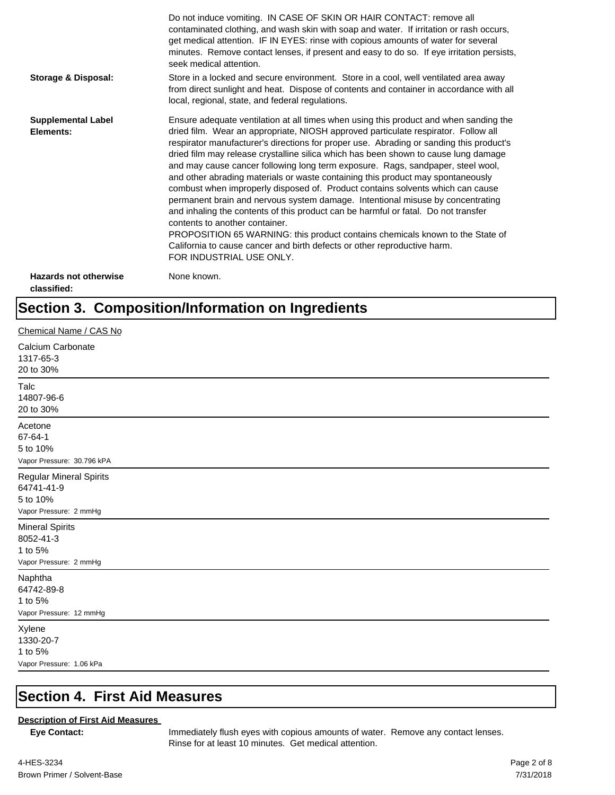|                                             | Do not induce vomiting. IN CASE OF SKIN OR HAIR CONTACT: remove all<br>contaminated clothing, and wash skin with soap and water. If irritation or rash occurs,<br>get medical attention. IF IN EYES: rinse with copious amounts of water for several<br>minutes. Remove contact lenses, if present and easy to do so. If eye irritation persists,<br>seek medical attention.                                                                                                                                                                                                                                                                                                                                                                                                                                                                                                                                                                                                                                             |
|---------------------------------------------|--------------------------------------------------------------------------------------------------------------------------------------------------------------------------------------------------------------------------------------------------------------------------------------------------------------------------------------------------------------------------------------------------------------------------------------------------------------------------------------------------------------------------------------------------------------------------------------------------------------------------------------------------------------------------------------------------------------------------------------------------------------------------------------------------------------------------------------------------------------------------------------------------------------------------------------------------------------------------------------------------------------------------|
| <b>Storage &amp; Disposal:</b>              | Store in a locked and secure environment. Store in a cool, well ventilated area away<br>from direct sunlight and heat. Dispose of contents and container in accordance with all<br>local, regional, state, and federal regulations.                                                                                                                                                                                                                                                                                                                                                                                                                                                                                                                                                                                                                                                                                                                                                                                      |
| <b>Supplemental Label</b><br>Elements:      | Ensure adequate ventilation at all times when using this product and when sanding the<br>dried film. Wear an appropriate, NIOSH approved particulate respirator. Follow all<br>respirator manufacturer's directions for proper use. Abrading or sanding this product's<br>dried film may release crystalline silica which has been shown to cause lung damage<br>and may cause cancer following long term exposure. Rags, sandpaper, steel wool,<br>and other abrading materials or waste containing this product may spontaneously<br>combust when improperly disposed of. Product contains solvents which can cause<br>permanent brain and nervous system damage. Intentional misuse by concentrating<br>and inhaling the contents of this product can be harmful or fatal. Do not transfer<br>contents to another container.<br>PROPOSITION 65 WARNING: this product contains chemicals known to the State of<br>California to cause cancer and birth defects or other reproductive harm.<br>FOR INDUSTRIAL USE ONLY. |
| <b>Hazards not otherwise</b><br>classified: | None known.                                                                                                                                                                                                                                                                                                                                                                                                                                                                                                                                                                                                                                                                                                                                                                                                                                                                                                                                                                                                              |

# **Section 3. Composition/Information on Ingredients**

| Chemical Name / CAS No                                                             |
|------------------------------------------------------------------------------------|
| Calcium Carbonate<br>1317-65-3<br>20 to 30%                                        |
| Talc<br>14807-96-6<br>20 to 30%                                                    |
| Acetone<br>67-64-1<br>5 to 10%<br>Vapor Pressure: 30.796 kPA                       |
| <b>Regular Mineral Spirits</b><br>64741-41-9<br>5 to 10%<br>Vapor Pressure: 2 mmHg |
| <b>Mineral Spirits</b><br>8052-41-3<br>1 to 5%<br>Vapor Pressure: 2 mmHg           |
| Naphtha<br>64742-89-8<br>1 to 5%<br>Vapor Pressure: 12 mmHg                        |
| Xylene<br>1330-20-7<br>1 to 5%<br>Vapor Pressure: 1.06 kPa                         |

#### **Section 4. First Aid Measures**

#### **Description of First Aid Measures**

**Eye Contact:** Immediately flush eyes with copious amounts of water. Remove any contact lenses. Rinse for at least 10 minutes. Get medical attention.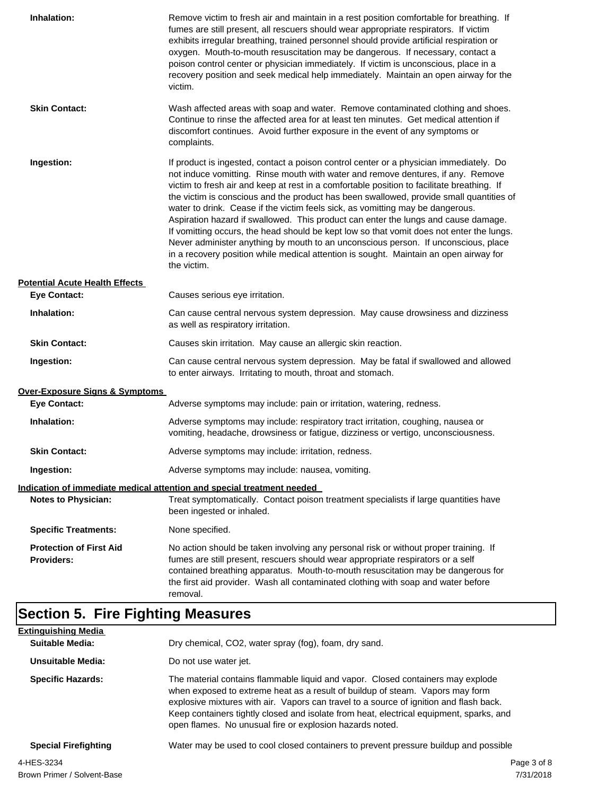| Inhalation:                                         | Remove victim to fresh air and maintain in a rest position comfortable for breathing. If<br>fumes are still present, all rescuers should wear appropriate respirators. If victim<br>exhibits irregular breathing, trained personnel should provide artificial respiration or<br>oxygen. Mouth-to-mouth resuscitation may be dangerous. If necessary, contact a<br>poison control center or physician immediately. If victim is unconscious, place in a<br>recovery position and seek medical help immediately. Maintain an open airway for the<br>victim.                                                                                                                                                                                                                                                                             |
|-----------------------------------------------------|---------------------------------------------------------------------------------------------------------------------------------------------------------------------------------------------------------------------------------------------------------------------------------------------------------------------------------------------------------------------------------------------------------------------------------------------------------------------------------------------------------------------------------------------------------------------------------------------------------------------------------------------------------------------------------------------------------------------------------------------------------------------------------------------------------------------------------------|
| <b>Skin Contact:</b>                                | Wash affected areas with soap and water. Remove contaminated clothing and shoes.<br>Continue to rinse the affected area for at least ten minutes. Get medical attention if<br>discomfort continues. Avoid further exposure in the event of any symptoms or<br>complaints.                                                                                                                                                                                                                                                                                                                                                                                                                                                                                                                                                             |
| Ingestion:                                          | If product is ingested, contact a poison control center or a physician immediately. Do<br>not induce vomitting. Rinse mouth with water and remove dentures, if any. Remove<br>victim to fresh air and keep at rest in a comfortable position to facilitate breathing. If<br>the victim is conscious and the product has been swallowed, provide small quantities of<br>water to drink. Cease if the victim feels sick, as vomitting may be dangerous.<br>Aspiration hazard if swallowed. This product can enter the lungs and cause damage.<br>If vomitting occurs, the head should be kept low so that vomit does not enter the lungs.<br>Never administer anything by mouth to an unconscious person. If unconscious, place<br>in a recovery position while medical attention is sought. Maintain an open airway for<br>the victim. |
| <b>Potential Acute Health Effects</b>               |                                                                                                                                                                                                                                                                                                                                                                                                                                                                                                                                                                                                                                                                                                                                                                                                                                       |
| <b>Eye Contact:</b>                                 | Causes serious eye irritation.                                                                                                                                                                                                                                                                                                                                                                                                                                                                                                                                                                                                                                                                                                                                                                                                        |
| Inhalation:                                         | Can cause central nervous system depression. May cause drowsiness and dizziness<br>as well as respiratory irritation.                                                                                                                                                                                                                                                                                                                                                                                                                                                                                                                                                                                                                                                                                                                 |
| <b>Skin Contact:</b>                                | Causes skin irritation. May cause an allergic skin reaction.                                                                                                                                                                                                                                                                                                                                                                                                                                                                                                                                                                                                                                                                                                                                                                          |
| Ingestion:                                          | Can cause central nervous system depression. May be fatal if swallowed and allowed<br>to enter airways. Irritating to mouth, throat and stomach.                                                                                                                                                                                                                                                                                                                                                                                                                                                                                                                                                                                                                                                                                      |
| Over-Exposure Signs & Symptoms                      |                                                                                                                                                                                                                                                                                                                                                                                                                                                                                                                                                                                                                                                                                                                                                                                                                                       |
| <b>Eye Contact:</b>                                 | Adverse symptoms may include: pain or irritation, watering, redness.                                                                                                                                                                                                                                                                                                                                                                                                                                                                                                                                                                                                                                                                                                                                                                  |
| Inhalation:                                         | Adverse symptoms may include: respiratory tract irritation, coughing, nausea or<br>vomiting, headache, drowsiness or fatigue, dizziness or vertigo, unconsciousness.                                                                                                                                                                                                                                                                                                                                                                                                                                                                                                                                                                                                                                                                  |
| <b>Skin Contact:</b>                                | Adverse symptoms may include: irritation, redness.                                                                                                                                                                                                                                                                                                                                                                                                                                                                                                                                                                                                                                                                                                                                                                                    |
| Ingestion:                                          | Adverse symptoms may include: nausea, vomiting.                                                                                                                                                                                                                                                                                                                                                                                                                                                                                                                                                                                                                                                                                                                                                                                       |
|                                                     | Indication of immediate medical attention and special treatment needed                                                                                                                                                                                                                                                                                                                                                                                                                                                                                                                                                                                                                                                                                                                                                                |
| <b>Notes to Physician:</b>                          | Treat symptomatically. Contact poison treatment specialists if large quantities have<br>been ingested or inhaled.                                                                                                                                                                                                                                                                                                                                                                                                                                                                                                                                                                                                                                                                                                                     |
| <b>Specific Treatments:</b>                         | None specified.                                                                                                                                                                                                                                                                                                                                                                                                                                                                                                                                                                                                                                                                                                                                                                                                                       |
| <b>Protection of First Aid</b><br><b>Providers:</b> | No action should be taken involving any personal risk or without proper training. If<br>fumes are still present, rescuers should wear appropriate respirators or a self<br>contained breathing apparatus. Mouth-to-mouth resuscitation may be dangerous for<br>the first aid provider. Wash all contaminated clothing with soap and water before<br>removal.                                                                                                                                                                                                                                                                                                                                                                                                                                                                          |

## **Section 5. Fire Fighting Measures**

| <b>Extinguishing Media</b>  |                                                                                                                                                                                                                                                                                                                                                                                                                   |
|-----------------------------|-------------------------------------------------------------------------------------------------------------------------------------------------------------------------------------------------------------------------------------------------------------------------------------------------------------------------------------------------------------------------------------------------------------------|
| Suitable Media:             | Dry chemical, CO2, water spray (fog), foam, dry sand.                                                                                                                                                                                                                                                                                                                                                             |
| Unsuitable Media:           | Do not use water jet.                                                                                                                                                                                                                                                                                                                                                                                             |
| <b>Specific Hazards:</b>    | The material contains flammable liquid and vapor. Closed containers may explode<br>when exposed to extreme heat as a result of buildup of steam. Vapors may form<br>explosive mixtures with air. Vapors can travel to a source of ignition and flash back.<br>Keep containers tightly closed and isolate from heat, electrical equipment, sparks, and<br>open flames. No unusual fire or explosion hazards noted. |
| <b>Special Firefighting</b> | Water may be used to cool closed containers to prevent pressure buildup and possible                                                                                                                                                                                                                                                                                                                              |
| 4-HES-3234                  | Page 3 of 8                                                                                                                                                                                                                                                                                                                                                                                                       |
|                             |                                                                                                                                                                                                                                                                                                                                                                                                                   |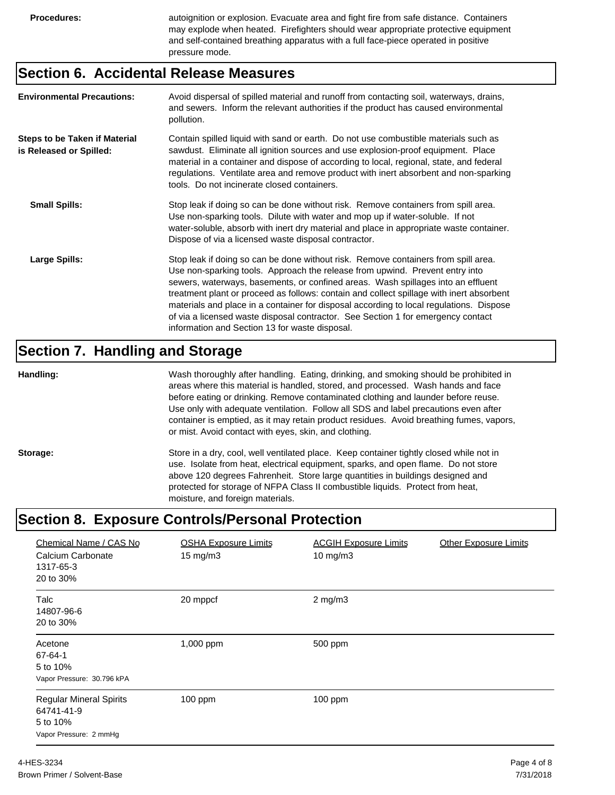**Procedures:** autoignition or explosion. Evacuate area and fight fire from safe distance. Containers may explode when heated. Firefighters should wear appropriate protective equipment and self-contained breathing apparatus with a full face-piece operated in positive pressure mode.

#### **Section 6. Accidental Release Measures**

| <b>Environmental Precautions:</b>                               | Avoid dispersal of spilled material and runoff from contacting soil, waterways, drains,<br>and sewers. Inform the relevant authorities if the product has caused environmental<br>pollution.                                                                                                                                                                                                                                                                                                                                                                                        |
|-----------------------------------------------------------------|-------------------------------------------------------------------------------------------------------------------------------------------------------------------------------------------------------------------------------------------------------------------------------------------------------------------------------------------------------------------------------------------------------------------------------------------------------------------------------------------------------------------------------------------------------------------------------------|
| <b>Steps to be Taken if Material</b><br>is Released or Spilled: | Contain spilled liquid with sand or earth. Do not use combustible materials such as<br>sawdust. Eliminate all ignition sources and use explosion-proof equipment. Place<br>material in a container and dispose of according to local, regional, state, and federal<br>regulations. Ventilate area and remove product with inert absorbent and non-sparking<br>tools. Do not incinerate closed containers.                                                                                                                                                                           |
| <b>Small Spills:</b>                                            | Stop leak if doing so can be done without risk. Remove containers from spill area.<br>Use non-sparking tools. Dilute with water and mop up if water-soluble. If not<br>water-soluble, absorb with inert dry material and place in appropriate waste container.<br>Dispose of via a licensed waste disposal contractor.                                                                                                                                                                                                                                                              |
| Large Spills:                                                   | Stop leak if doing so can be done without risk. Remove containers from spill area.<br>Use non-sparking tools. Approach the release from upwind. Prevent entry into<br>sewers, waterways, basements, or confined areas. Wash spillages into an effluent<br>treatment plant or proceed as follows: contain and collect spillage with inert absorbent<br>materials and place in a container for disposal according to local regulations. Dispose<br>of via a licensed waste disposal contractor. See Section 1 for emergency contact<br>information and Section 13 for waste disposal. |

### **Section 7. Handling and Storage**

**Handling:** Wash thoroughly after handling. Eating, drinking, and smoking should be prohibited in areas where this material is handled, stored, and processed. Wash hands and face before eating or drinking. Remove contaminated clothing and launder before reuse. Use only with adequate ventilation. Follow all SDS and label precautions even after container is emptied, as it may retain product residues. Avoid breathing fumes, vapors, or mist. Avoid contact with eyes, skin, and clothing.

Storage: Store in a dry, cool, well ventilated place. Keep container tightly closed while not in use. Isolate from heat, electrical equipment, sparks, and open flame. Do not store above 120 degrees Fahrenheit. Store large quantities in buildings designed and protected for storage of NFPA Class II combustible liquids. Protect from heat, moisture, and foreign materials.

#### **Section 8. Exposure Controls/Personal Protection**

| Chemical Name / CAS No<br>Calcium Carbonate<br>1317-65-3<br>20 to 30%              | <b>OSHA Exposure Limits</b><br>$15 \text{ mg/m}$ | <b>ACGIH Exposure Limits</b><br>10 mg/m $3$ | <b>Other Exposure Limits</b> |
|------------------------------------------------------------------------------------|--------------------------------------------------|---------------------------------------------|------------------------------|
| Talc<br>14807-96-6<br>20 to 30%                                                    | 20 mppcf                                         | $2$ mg/m $3$                                |                              |
| Acetone<br>67-64-1<br>5 to 10%<br>Vapor Pressure: 30.796 kPA                       | 1,000 ppm                                        | 500 ppm                                     |                              |
| <b>Regular Mineral Spirits</b><br>64741-41-9<br>5 to 10%<br>Vapor Pressure: 2 mmHg | 100 ppm                                          | $100$ ppm                                   |                              |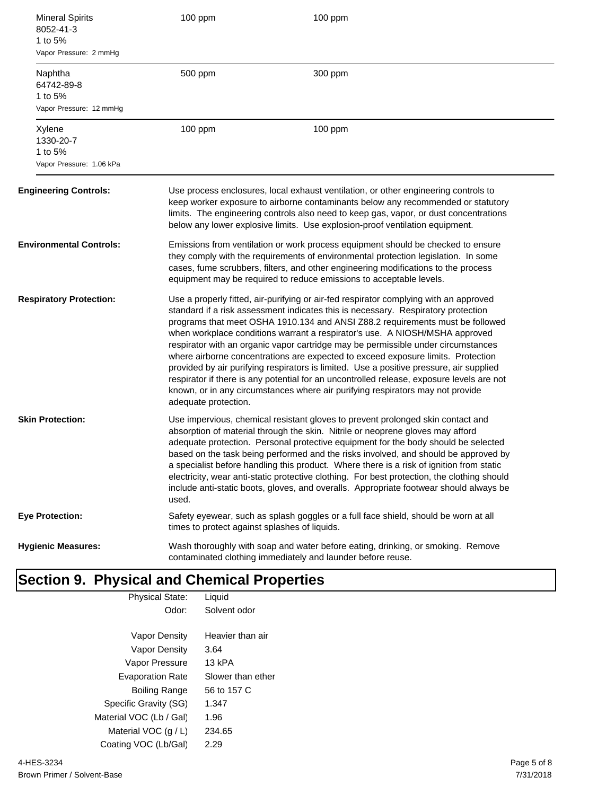| <b>Mineral Spirits</b><br>8052-41-3<br>1 to 5%<br>Vapor Pressure: 2 mmHg | 100 ppm                                                                                                                                                                                                                                                                                                                                                                                                                                                                                                                                                                                                                                                                                                                                                                                                               | 100 ppm                                                                                                                                                                                                                                                                                                                                          |
|--------------------------------------------------------------------------|-----------------------------------------------------------------------------------------------------------------------------------------------------------------------------------------------------------------------------------------------------------------------------------------------------------------------------------------------------------------------------------------------------------------------------------------------------------------------------------------------------------------------------------------------------------------------------------------------------------------------------------------------------------------------------------------------------------------------------------------------------------------------------------------------------------------------|--------------------------------------------------------------------------------------------------------------------------------------------------------------------------------------------------------------------------------------------------------------------------------------------------------------------------------------------------|
| Naphtha<br>64742-89-8<br>1 to 5%<br>Vapor Pressure: 12 mmHg              | 500 ppm                                                                                                                                                                                                                                                                                                                                                                                                                                                                                                                                                                                                                                                                                                                                                                                                               | 300 ppm                                                                                                                                                                                                                                                                                                                                          |
| Xylene<br>1330-20-7<br>1 to 5%<br>Vapor Pressure: 1.06 kPa               | 100 ppm                                                                                                                                                                                                                                                                                                                                                                                                                                                                                                                                                                                                                                                                                                                                                                                                               | 100 ppm                                                                                                                                                                                                                                                                                                                                          |
| <b>Engineering Controls:</b>                                             |                                                                                                                                                                                                                                                                                                                                                                                                                                                                                                                                                                                                                                                                                                                                                                                                                       | Use process enclosures, local exhaust ventilation, or other engineering controls to<br>keep worker exposure to airborne contaminants below any recommended or statutory<br>limits. The engineering controls also need to keep gas, vapor, or dust concentrations<br>below any lower explosive limits. Use explosion-proof ventilation equipment. |
| <b>Environmental Controls:</b>                                           | Emissions from ventilation or work process equipment should be checked to ensure<br>they comply with the requirements of environmental protection legislation. In some<br>cases, fume scrubbers, filters, and other engineering modifications to the process<br>equipment may be required to reduce emissions to acceptable levels.                                                                                                                                                                                                                                                                                                                                                                                                                                                                                   |                                                                                                                                                                                                                                                                                                                                                  |
| <b>Respiratory Protection:</b>                                           | Use a properly fitted, air-purifying or air-fed respirator complying with an approved<br>standard if a risk assessment indicates this is necessary. Respiratory protection<br>programs that meet OSHA 1910.134 and ANSI Z88.2 requirements must be followed<br>when workplace conditions warrant a respirator's use. A NIOSH/MSHA approved<br>respirator with an organic vapor cartridge may be permissible under circumstances<br>where airborne concentrations are expected to exceed exposure limits. Protection<br>provided by air purifying respirators is limited. Use a positive pressure, air supplied<br>respirator if there is any potential for an uncontrolled release, exposure levels are not<br>known, or in any circumstances where air purifying respirators may not provide<br>adequate protection. |                                                                                                                                                                                                                                                                                                                                                  |
| <b>Skin Protection:</b>                                                  | Use impervious, chemical resistant gloves to prevent prolonged skin contact and<br>absorption of material through the skin. Nitrile or neoprene gloves may afford<br>adequate protection. Personal protective equipment for the body should be selected<br>based on the task being performed and the risks involved, and should be approved by<br>a specialist before handling this product. Where there is a risk of ignition from static<br>electricity, wear anti-static protective clothing. For best protection, the clothing should<br>include anti-static boots, gloves, and overalls. Appropriate footwear should always be<br>used.                                                                                                                                                                          |                                                                                                                                                                                                                                                                                                                                                  |
| <b>Eye Protection:</b>                                                   | times to protect against splashes of liquids.                                                                                                                                                                                                                                                                                                                                                                                                                                                                                                                                                                                                                                                                                                                                                                         | Safety eyewear, such as splash goggles or a full face shield, should be worn at all                                                                                                                                                                                                                                                              |
| <b>Hygienic Measures:</b>                                                |                                                                                                                                                                                                                                                                                                                                                                                                                                                                                                                                                                                                                                                                                                                                                                                                                       | Wash thoroughly with soap and water before eating, drinking, or smoking. Remove<br>contaminated clothing immediately and launder before reuse.                                                                                                                                                                                                   |
| <b>Section 9. Physical and Chemical Properties</b>                       |                                                                                                                                                                                                                                                                                                                                                                                                                                                                                                                                                                                                                                                                                                                                                                                                                       |                                                                                                                                                                                                                                                                                                                                                  |

| <b>Physical State:</b>  | Liquid            |
|-------------------------|-------------------|
| Odor:                   | Solvent odor      |
|                         |                   |
| Vapor Density           | Heavier than air  |
| Vapor Density           | 3.64              |
| Vapor Pressure          | 13 kPA            |
| <b>Evaporation Rate</b> | Slower than ether |
| Boiling Range           | 56 to 157 C       |
| Specific Gravity (SG)   | 1.347             |
| Material VOC (Lb / Gal) | 1.96              |
| Material VOC $(g / L)$  | 234.65            |
| Coating VOC (Lb/Gal)    | 2.29              |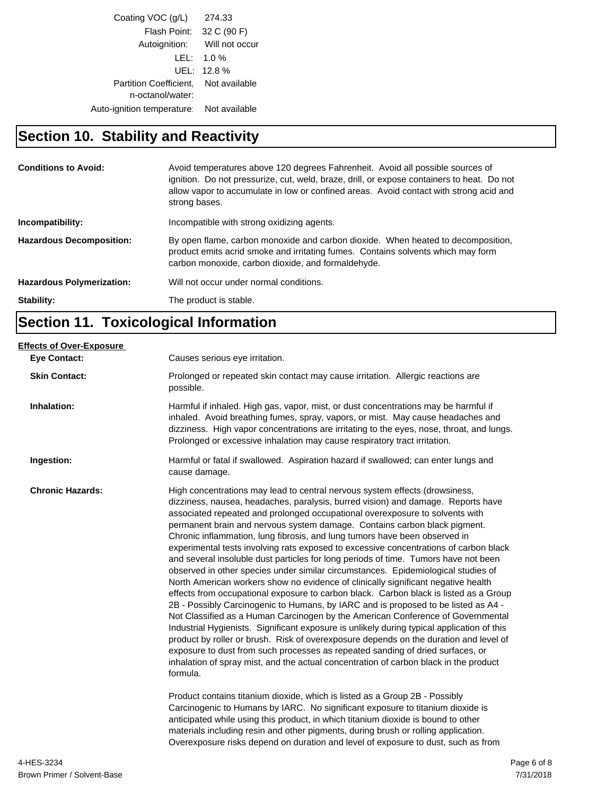| Coating VOC (g/L)                                        | 274.33                       |
|----------------------------------------------------------|------------------------------|
| Flash Point: 32 C (90 F)                                 |                              |
|                                                          | Autoignition: Will not occur |
|                                                          | $LEL: 1.0\%$                 |
|                                                          | UEL: 12.8%                   |
| Partition Coefficient. Not available<br>n-octanol/water: |                              |
| Auto-ignition temperature   Not available                |                              |
|                                                          |                              |

# **Section 10. Stability and Reactivity**

| <b>Conditions to Avoid:</b>      | Avoid temperatures above 120 degrees Fahrenheit. Avoid all possible sources of<br>ignition. Do not pressurize, cut, weld, braze, drill, or expose containers to heat. Do not<br>allow vapor to accumulate in low or confined areas. Avoid contact with strong acid and<br>strong bases. |
|----------------------------------|-----------------------------------------------------------------------------------------------------------------------------------------------------------------------------------------------------------------------------------------------------------------------------------------|
| Incompatibility:                 | Incompatible with strong oxidizing agents.                                                                                                                                                                                                                                              |
| <b>Hazardous Decomposition:</b>  | By open flame, carbon monoxide and carbon dioxide. When heated to decomposition,<br>product emits acrid smoke and irritating fumes. Contains solvents which may form<br>carbon monoxide, carbon dioxide, and formaldehyde.                                                              |
| <b>Hazardous Polymerization:</b> | Will not occur under normal conditions.                                                                                                                                                                                                                                                 |
| Stability:                       | The product is stable.                                                                                                                                                                                                                                                                  |

# **Section 11. Toxicological Information**

| <b>Eve Contact:</b>     | Causes serious eye irritation.                                                                                                                                                                                                                                                                                                                                                                                                                                                                                                                                                                                                                                                                                                                                                                                                                                                                                                                                                                                                                                                                                                                                                                                                                                                                                                                                                                                       |
|-------------------------|----------------------------------------------------------------------------------------------------------------------------------------------------------------------------------------------------------------------------------------------------------------------------------------------------------------------------------------------------------------------------------------------------------------------------------------------------------------------------------------------------------------------------------------------------------------------------------------------------------------------------------------------------------------------------------------------------------------------------------------------------------------------------------------------------------------------------------------------------------------------------------------------------------------------------------------------------------------------------------------------------------------------------------------------------------------------------------------------------------------------------------------------------------------------------------------------------------------------------------------------------------------------------------------------------------------------------------------------------------------------------------------------------------------------|
| <b>Skin Contact:</b>    | Prolonged or repeated skin contact may cause irritation. Allergic reactions are<br>possible.                                                                                                                                                                                                                                                                                                                                                                                                                                                                                                                                                                                                                                                                                                                                                                                                                                                                                                                                                                                                                                                                                                                                                                                                                                                                                                                         |
| Inhalation:             | Harmful if inhaled. High gas, vapor, mist, or dust concentrations may be harmful if<br>inhaled. Avoid breathing fumes, spray, vapors, or mist. May cause headaches and<br>dizziness. High vapor concentrations are irritating to the eyes, nose, throat, and lungs.<br>Prolonged or excessive inhalation may cause respiratory tract irritation.                                                                                                                                                                                                                                                                                                                                                                                                                                                                                                                                                                                                                                                                                                                                                                                                                                                                                                                                                                                                                                                                     |
| Ingestion:              | Harmful or fatal if swallowed. Aspiration hazard if swallowed; can enter lungs and<br>cause damage.                                                                                                                                                                                                                                                                                                                                                                                                                                                                                                                                                                                                                                                                                                                                                                                                                                                                                                                                                                                                                                                                                                                                                                                                                                                                                                                  |
| <b>Chronic Hazards:</b> | High concentrations may lead to central nervous system effects (drowsiness,<br>dizziness, nausea, headaches, paralysis, burred vision) and damage. Reports have<br>associated repeated and prolonged occupational overexposure to solvents with<br>permanent brain and nervous system damage. Contains carbon black pigment.<br>Chronic inflammation, lung fibrosis, and lung tumors have been observed in<br>experimental tests involving rats exposed to excessive concentrations of carbon black<br>and several insoluble dust particles for long periods of time. Tumors have not been<br>observed in other species under similar circumstances. Epidemiological studies of<br>North American workers show no evidence of clinically significant negative health<br>effects from occupational exposure to carbon black. Carbon black is listed as a Group<br>2B - Possibly Carcinogenic to Humans, by IARC and is proposed to be listed as A4 -<br>Not Classified as a Human Carcinogen by the American Conference of Governmental<br>Industrial Hygienists. Significant exposure is unlikely during typical application of this<br>product by roller or brush. Risk of overexposure depends on the duration and level of<br>exposure to dust from such processes as repeated sanding of dried surfaces, or<br>inhalation of spray mist, and the actual concentration of carbon black in the product<br>formula. |
|                         | Product contains titanium dioxide, which is listed as a Group 2B - Possibly<br>Carcinogenic to Humans by IARC. No significant exposure to titanium dioxide is<br>anticipated while using this product, in which titanium dioxide is bound to other<br>materials including resin and other pigments, during brush or rolling application.<br>Overexposure risks depend on duration and level of exposure to dust, such as from                                                                                                                                                                                                                                                                                                                                                                                                                                                                                                                                                                                                                                                                                                                                                                                                                                                                                                                                                                                        |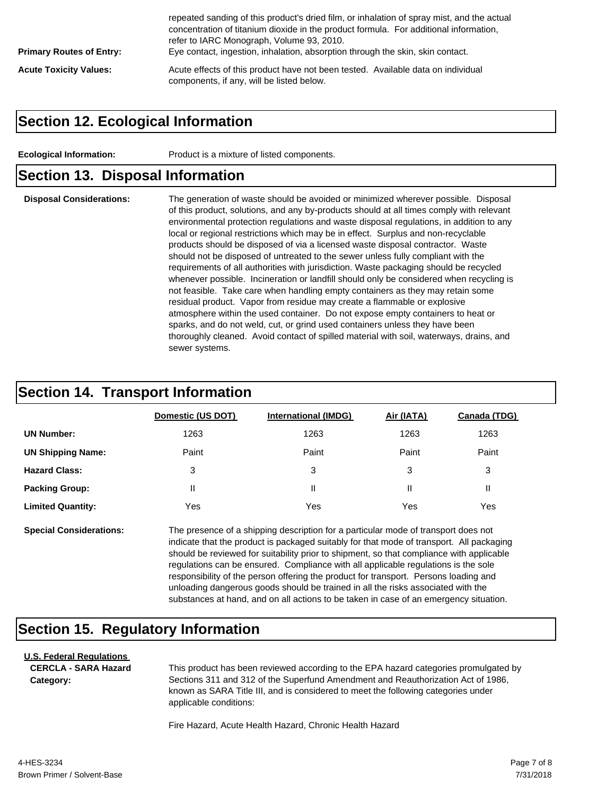| <b>Primary Routes of Entry:</b> | repeated sanding of this product's dried film, or inhalation of spray mist, and the actual<br>concentration of titanium dioxide in the product formula. For additional information,<br>refer to IARC Monograph, Volume 93, 2010.<br>Eye contact, ingestion, inhalation, absorption through the skin, skin contact. |
|---------------------------------|--------------------------------------------------------------------------------------------------------------------------------------------------------------------------------------------------------------------------------------------------------------------------------------------------------------------|
| <b>Acute Toxicity Values:</b>   | Acute effects of this product have not been tested. Available data on individual<br>components, if any, will be listed below.                                                                                                                                                                                      |

#### **Section 12. Ecological Information**

**Ecological Information:** Product is a mixture of listed components.

#### **Section 13. Disposal Information**

**Disposal Considerations:** The generation of waste should be avoided or minimized wherever possible. Disposal of this product, solutions, and any by-products should at all times comply with relevant environmental protection regulations and waste disposal regulations, in addition to any local or regional restrictions which may be in effect. Surplus and non-recyclable products should be disposed of via a licensed waste disposal contractor. Waste should not be disposed of untreated to the sewer unless fully compliant with the requirements of all authorities with jurisdiction. Waste packaging should be recycled whenever possible. Incineration or landfill should only be considered when recycling is not feasible. Take care when handling empty containers as they may retain some residual product. Vapor from residue may create a flammable or explosive atmosphere within the used container. Do not expose empty containers to heat or sparks, and do not weld, cut, or grind used containers unless they have been thoroughly cleaned. Avoid contact of spilled material with soil, waterways, drains, and sewer systems.

#### **Section 14. Transport Information**

|                          | Domestic (US DOT) | <b>International (IMDG)</b> | Air (IATA) | <b>Canada (TDG)</b> |
|--------------------------|-------------------|-----------------------------|------------|---------------------|
| <b>UN Number:</b>        | 1263              | 1263                        | 1263       | 1263                |
| <b>UN Shipping Name:</b> | Paint             | Paint                       | Paint      | Paint               |
| <b>Hazard Class:</b>     | 3                 | 3                           | 3          | 3                   |
| <b>Packing Group:</b>    | Ш                 | Ш                           |            | н.                  |
| <b>Limited Quantity:</b> | Yes               | Yes                         | Yes        | Yes                 |

**Special Considerations:** The presence of a shipping description for a particular mode of transport does not indicate that the product is packaged suitably for that mode of transport. All packaging should be reviewed for suitability prior to shipment, so that compliance with applicable regulations can be ensured. Compliance with all applicable regulations is the sole responsibility of the person offering the product for transport. Persons loading and unloading dangerous goods should be trained in all the risks associated with the substances at hand, and on all actions to be taken in case of an emergency situation.

# **Section 15. Regulatory Information**

#### **U.S. Federal Regulations CERCLA - SARA Hazard**

**Category:**

This product has been reviewed according to the EPA hazard categories promulgated by Sections 311 and 312 of the Superfund Amendment and Reauthorization Act of 1986, known as SARA Title III, and is considered to meet the following categories under applicable conditions:

Fire Hazard, Acute Health Hazard, Chronic Health Hazard